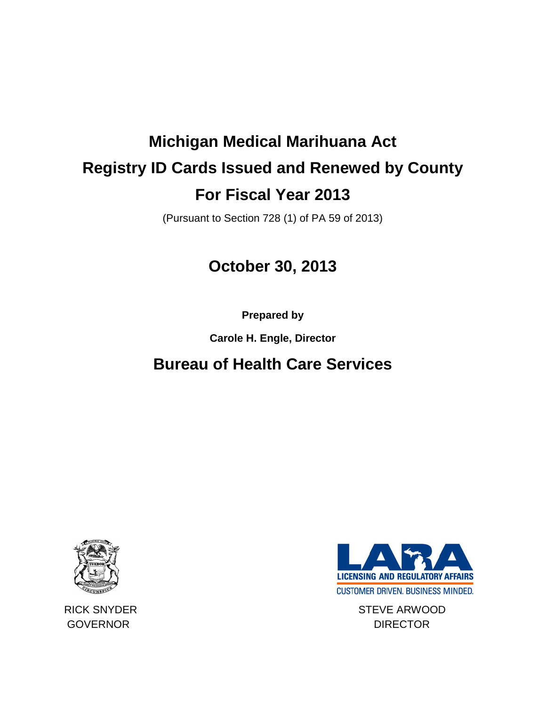# **Michigan Medical Marihuana Act Registry ID Cards Issued and Renewed by County For Fiscal Year 2013**

(Pursuant to Section 728 (1) of PA 59 of 2013)

# **October 30, 2013**

**Prepared by** 

**Carole H. Engle, Director**

# **Bureau of Health Care Services**





RICK SNYDER STEVE ARWOOD GOVERNOR DIRECTOR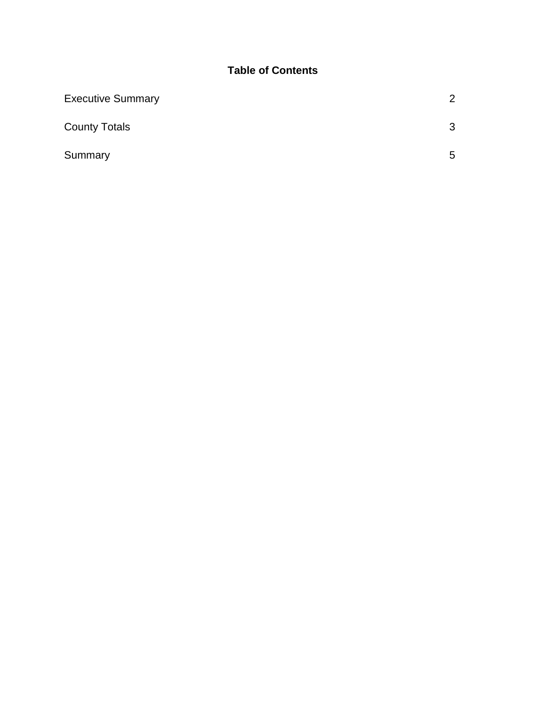### **Table of Contents**

| <b>Executive Summary</b> | 2 |
|--------------------------|---|
| <b>County Totals</b>     | 3 |
| Summary                  | 5 |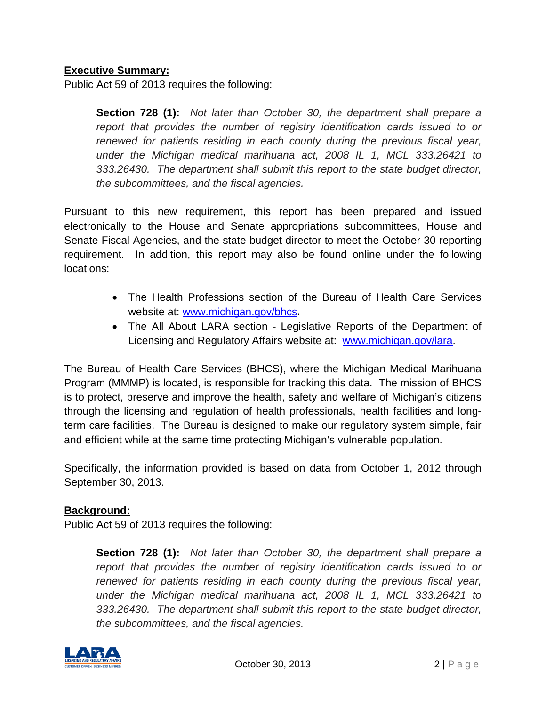#### **Executive Summary:**

Public Act 59 of 2013 requires the following:

**Section 728 (1):** *Not later than October 30, the department shall prepare a report that provides the number of registry identification cards issued to or renewed for patients residing in each county during the previous fiscal year, under the Michigan medical marihuana act, 2008 IL 1, MCL 333.26421 to 333.26430. The department shall submit this report to the state budget director, the subcommittees, and the fiscal agencies.*

Pursuant to this new requirement, this report has been prepared and issued electronically to the House and Senate appropriations subcommittees, House and Senate Fiscal Agencies, and the state budget director to meet the October 30 reporting requirement. In addition, this report may also be found online under the following locations:

- The Health Professions section of the Bureau of Health Care Services website at: [www.michigan.gov/bhcs.](http://www.michigan.gov/bhcs)
- The All About LARA section Legislative Reports of the Department of Licensing and Regulatory Affairs website at: [www.michigan.gov/lara.](http://www.michigan.gov/lara)

The Bureau of Health Care Services (BHCS), where the Michigan Medical Marihuana Program (MMMP) is located, is responsible for tracking this data. The mission of BHCS is to protect, preserve and improve the health, safety and welfare of Michigan's citizens through the licensing and regulation of health professionals, health facilities and longterm care facilities. The Bureau is designed to make our regulatory system simple, fair and efficient while at the same time protecting Michigan's vulnerable population.

Specifically, the information provided is based on data from October 1, 2012 through September 30, 2013.

#### **Background:**

Public Act 59 of 2013 requires the following:

**Section 728 (1):** *Not later than October 30, the department shall prepare a report that provides the number of registry identification cards issued to or renewed for patients residing in each county during the previous fiscal year, under the Michigan medical marihuana act, 2008 IL 1, MCL 333.26421 to 333.26430. The department shall submit this report to the state budget director, the subcommittees, and the fiscal agencies.*

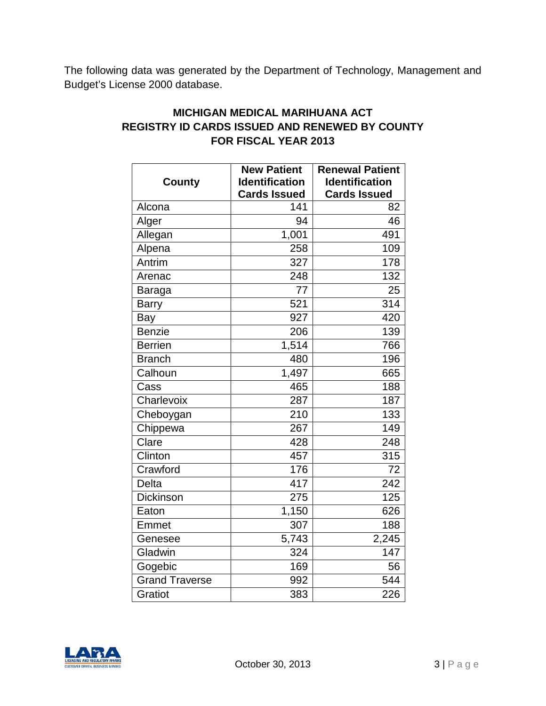The following data was generated by the Department of Technology, Management and Budget's License 2000 database.

### **MICHIGAN MEDICAL MARIHUANA ACT REGISTRY ID CARDS ISSUED AND RENEWED BY COUNTY FOR FISCAL YEAR 2013**

|                       | <b>New Patient</b>    | <b>Renewal Patient</b> |
|-----------------------|-----------------------|------------------------|
| County                | <b>Identification</b> | <b>Identification</b>  |
|                       | <b>Cards Issued</b>   | <b>Cards Issued</b>    |
| Alcona                | 141                   | 82                     |
| Alger                 | 94                    | 46                     |
| Allegan               | 1,001                 | 491                    |
| Alpena                | 258                   | 109                    |
| Antrim                | 327                   | 178                    |
| Arenac                | 248                   | 132                    |
| Baraga                | 77                    | 25                     |
| <b>Barry</b>          | 521                   | 314                    |
| Bay                   | 927                   | 420                    |
| <b>Benzie</b>         | 206                   | 139                    |
| <b>Berrien</b>        | 1,514                 | 766                    |
| <b>Branch</b>         | 480                   | 196                    |
| Calhoun               | 1,497                 | 665                    |
| Cass                  | 465                   | 188                    |
| Charlevoix            | 287                   | 187                    |
| Cheboygan             | 210                   | 133                    |
| Chippewa              | 267                   | 149                    |
| Clare                 | 428                   | 248                    |
| Clinton               | 457                   | 315                    |
| Crawford              | 176                   | 72                     |
| Delta                 | 417                   | 242                    |
| <b>Dickinson</b>      | 275                   | 125                    |
| Eaton                 | 1,150                 | 626                    |
| Emmet                 | 307                   | 188                    |
| Genesee               | 5,743                 | 2,245                  |
| Gladwin               | 324                   | 147                    |
| Gogebic               | 169                   | 56                     |
| <b>Grand Traverse</b> | 992                   | 544                    |
| Gratiot               | 383                   | 226                    |

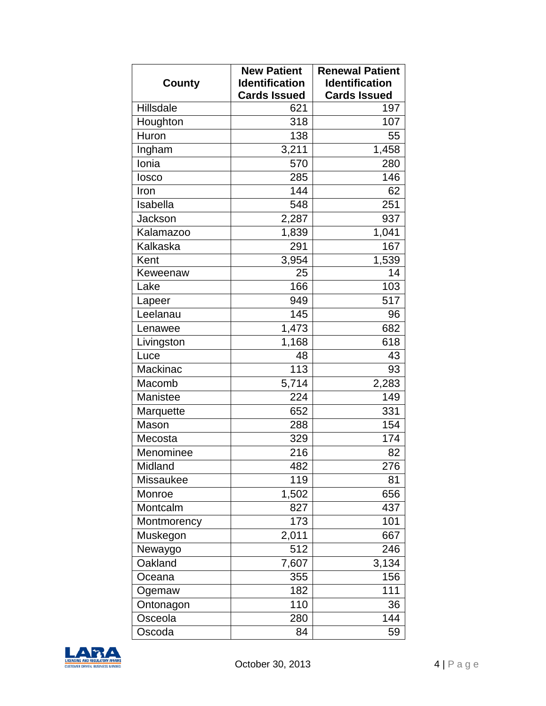|                  | <b>New Patient</b>    | <b>Renewal Patient</b> |
|------------------|-----------------------|------------------------|
| County           | <b>Identification</b> | <b>Identification</b>  |
|                  | <b>Cards Issued</b>   | <b>Cards Issued</b>    |
| Hillsdale        | 621                   | 197                    |
| Houghton         | 318                   | 107                    |
| Huron            | 138                   | 55                     |
| Ingham           | 3,211                 | 1,458                  |
| Ionia            | 570                   | 280                    |
| losco            | 285                   | 146                    |
| Iron             | 144                   | 62                     |
| Isabella         | 548                   | 251                    |
| Jackson          | 2,287                 | 937                    |
| Kalamazoo        | 1,839                 | 1,041                  |
| Kalkaska         | 291                   | 167                    |
| Kent             | 3,954                 | 1,539                  |
| Keweenaw         | 25                    | 14                     |
| Lake             | 166                   | 103                    |
| Lapeer           | 949                   | 517                    |
| Leelanau         | 145                   | 96                     |
| Lenawee          | 1,473                 | 682                    |
| Livingston       | 1,168                 | 618                    |
| Luce             | 48                    | 43                     |
| Mackinac         | 113                   | 93                     |
| Macomb           | 5,714                 | 2,283                  |
| Manistee         | 224                   | 149                    |
| Marquette        | 652                   | 331                    |
| Mason            | 288                   | 154                    |
| Mecosta          | 329                   | 174                    |
| Menominee        | 216                   | 82                     |
| Midland          | 482                   | 276                    |
| <b>Missaukee</b> | 119                   | 81                     |
| Monroe           | 1,502                 | 656                    |
| Montcalm         | 827                   | 437                    |
| Montmorency      | 173                   | 101                    |
| Muskegon         | 2,011                 | 667                    |
| Newaygo          | 512                   | 246                    |
| Oakland          | 7,607                 | 3,134                  |
| Oceana           | 355                   | 156                    |
| Ogemaw           | 182                   | 111                    |
| Ontonagon        | 110                   | 36                     |
| Osceola          | 280                   | 144                    |
| Oscoda           | 84                    | 59                     |